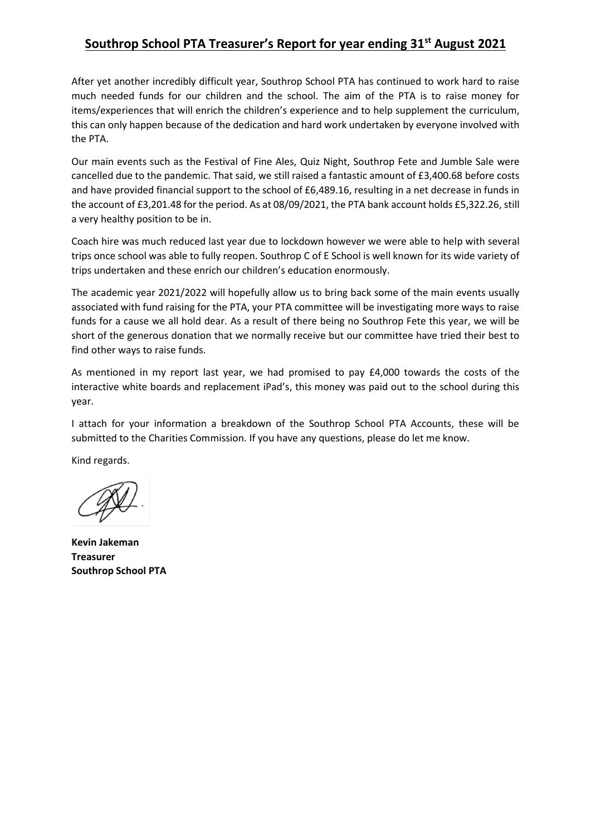## **Southrop School PTA Treasurer's Report for year ending 31st August 2021**

After yet another incredibly difficult year, Southrop School PTA has continued to work hard to raise much needed funds for our children and the school. The aim of the PTA is to raise money for items/experiences that will enrich the children's experience and to help supplement the curriculum, this can only happen because of the dedication and hard work undertaken by everyone involved with the PTA.

Our main events such as the Festival of Fine Ales, Quiz Night, Southrop Fete and Jumble Sale were cancelled due to the pandemic. That said, we still raised a fantastic amount of £3,400.68 before costs and have provided financial support to the school of £6,489.16, resulting in a net decrease in funds in the account of £3,201.48 for the period. As at 08/09/2021, the PTA bank account holds £5,322.26, still a very healthy position to be in.

Coach hire was much reduced last year due to lockdown however we were able to help with several trips once school was able to fully reopen. Southrop C of E School is well known for its wide variety of trips undertaken and these enrich our children's education enormously.

The academic year 2021/2022 will hopefully allow us to bring back some of the main events usually associated with fund raising for the PTA, your PTA committee will be investigating more ways to raise funds for a cause we all hold dear. As a result of there being no Southrop Fete this year, we will be short of the generous donation that we normally receive but our committee have tried their best to find other ways to raise funds.

As mentioned in my report last year, we had promised to pay £4,000 towards the costs of the interactive white boards and replacement iPad's, this money was paid out to the school during this year.

I attach for your information a breakdown of the Southrop School PTA Accounts, these will be submitted to the Charities Commission. If you have any questions, please do let me know.

Kind regards.

**Kevin Jakeman Treasurer Southrop School PTA**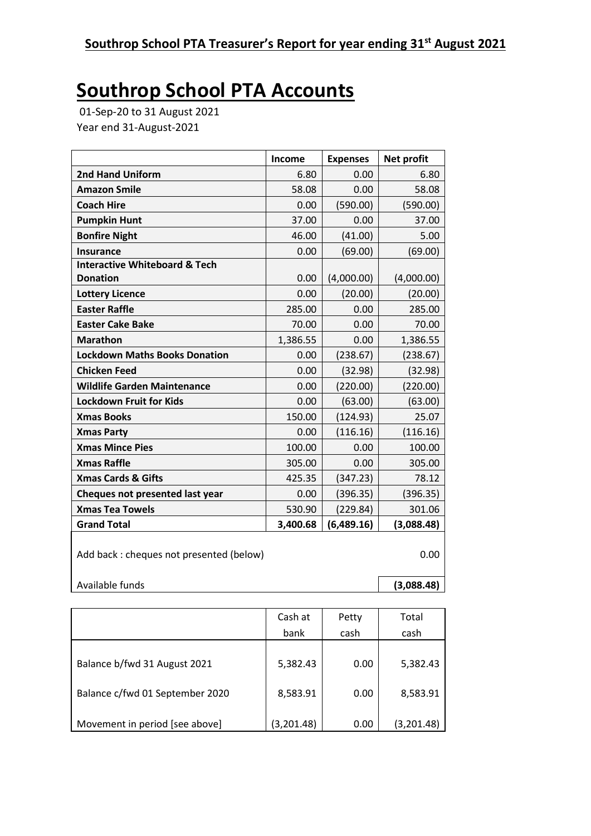## **Southrop School PTA Accounts**

01-Sep-20 to 31 August 2021 Year end 31-August-2021

|                                          | Income   | <b>Expenses</b> | Net profit |
|------------------------------------------|----------|-----------------|------------|
| <b>2nd Hand Uniform</b>                  | 6.80     | 0.00            | 6.80       |
| <b>Amazon Smile</b>                      | 58.08    | 0.00            | 58.08      |
| <b>Coach Hire</b>                        | 0.00     | (590.00)        | (590.00)   |
| <b>Pumpkin Hunt</b>                      | 37.00    | 0.00            | 37.00      |
| <b>Bonfire Night</b>                     | 46.00    | (41.00)         | 5.00       |
| <b>Insurance</b>                         | 0.00     | (69.00)         | (69.00)    |
| <b>Interactive Whiteboard &amp; Tech</b> |          |                 |            |
| <b>Donation</b>                          | 0.00     | (4,000.00)      | (4,000.00) |
| <b>Lottery Licence</b>                   | 0.00     | (20.00)         | (20.00)    |
| <b>Easter Raffle</b>                     | 285.00   | 0.00            | 285.00     |
| <b>Easter Cake Bake</b>                  | 70.00    | 0.00            | 70.00      |
| <b>Marathon</b>                          | 1,386.55 | 0.00            | 1,386.55   |
| <b>Lockdown Maths Books Donation</b>     | 0.00     | (238.67)        | (238.67)   |
| <b>Chicken Feed</b>                      | 0.00     | (32.98)         | (32.98)    |
| <b>Wildlife Garden Maintenance</b>       | 0.00     | (220.00)        | (220.00)   |
| <b>Lockdown Fruit for Kids</b>           | 0.00     | (63.00)         | (63.00)    |
| <b>Xmas Books</b>                        | 150.00   | (124.93)        | 25.07      |
| <b>Xmas Party</b>                        | 0.00     | (116.16)        | (116.16)   |
| <b>Xmas Mince Pies</b>                   | 100.00   | 0.00            | 100.00     |
| <b>Xmas Raffle</b>                       | 305.00   | 0.00            | 305.00     |
| <b>Xmas Cards &amp; Gifts</b>            | 425.35   | (347.23)        | 78.12      |
| Cheques not presented last year          | 0.00     | (396.35)        | (396.35)   |
| <b>Xmas Tea Towels</b>                   | 530.90   | (229.84)        | 301.06     |
| <b>Grand Total</b>                       | 3,400.68 | (6,489.16)      | (3,088.48) |
| Add back : cheques not presented (below) | 0.00     |                 |            |
| Available funds                          |          |                 | (3,088.48) |

|                                 | Cash at    | Petty | Total      |
|---------------------------------|------------|-------|------------|
|                                 | bank       | cash  | cash       |
|                                 |            |       |            |
| Balance b/fwd 31 August 2021    | 5,382.43   | 0.00  | 5,382.43   |
| Balance c/fwd 01 September 2020 | 8,583.91   | 0.00  | 8,583.91   |
| Movement in period [see above]  | (3,201.48) | 0.00  | (3,201.48) |